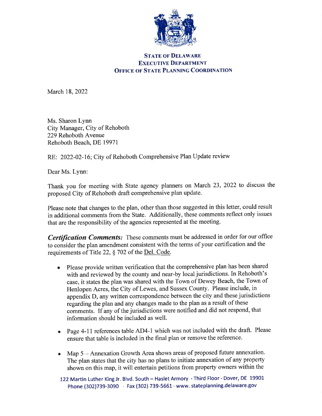

## **STATE OF DELAWARE EXECUTIVE DEPARTMENT OFFICE OF STATE PLANNING COORDINATION**

March 18,2022

Ms. Sharon Lynn City Manager, City of Rehoboth 229 Rehoboth Avenue Rehoboth Beach, DE 19971

RE: 2022-02-16; City of Rehoboth Comprehensive Plan Update review

Dear Ms. Lynn:

Thank you for meeting with State agency planners on March 23,2022 to discuss the proposed City of Rehoboth draft comprehensive plan update.

Please note that changes to the plan, other than those suggested in this letter, could result in additional comments from the State. Additionally, these comments reflect only issues that are the responsibility of the agencies represented at the meeting.

Certification Comments: These comments must be addressed in order for our office to consider the plan amendment consistent with the terms of your certification and the requirements of Title 22, § 702 of the Del. Code.

- o Please provide written verification that the comprehensive plan has been shared with and reviewed by the county and near-by local jurisdictions. In Rehoboth's case, it states the plan was shared with the Town of Dewey Beach, the Town of Henlopen Acres, the City of Lewes, and Sussex County. Please include, in appendix D, any written correspondence between the city and these jurisdictions regarding the plan and any changes made to the plan as a result of these comments. If any of the jurisdictions were notified and did not respond, that information should be included as well.
- o Page 4-11 references table AD4-1 which was not included with the draft. Please ensure that table is included in the final plan or remove the reference.
- Map 5 Annexation Growth Area shows areas of proposed future annexation. The plan states that the city has no plans to initiate annexation of any property shown on this map, it will entertain petitions from property owners within the

122 Martin Luther King Jr. Blvd. South - Haslet Armory · Third Floor · Dover, DE 19901 Phone (302)739-3090 · Fax (302) 739-5661 · www. stateplanning.delaware.gov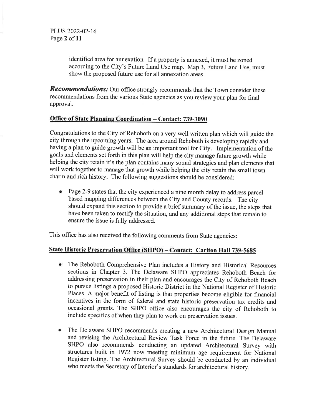PLUS 2022-02-16 Page 2 of 11

> identified area for annexation. If a property is annexed, it must be zoned according to the City's Future Land Use map. Map 3, Future Land Use, must show the proposed future use for all annexation areas.

**Recommendations:** Our office strongly recommends that the Town consider these recommendations from the various State agencies as you review your plan for final approval.

## Office of State Planning Coordination - Contact: 739-3090

Congratulations to the City of Rehoboth on a very well written plan which will guide the city through the upcoming years. The area around Rehoboth is developing rapidly and having a plan to guide growth will be an important tool for City. Implementation of the goals and elements set forth in this plan will help the city manage future growth while helping the city retain it's the plan contains many sound strategies and plan elements that will work together to manage that growth while helping the city retain the small town charm and rich history. The following suggestions should be considered:

• Page 2-9 states that the city experienced a nine month delay to address parcel based mapping differences between the city and county records. The city should expand this section to provide a brief summary of the issue, the steps that have been taken to rectify the situation, and any additional steps that remain to ensure the issue is fully addressed.

This office has also received the following comments from State agencies:

#### State Historic Preservation Office (SHPO) - Contact: Carlton Hall 739-5685

- The Rehoboth Comprehensive Plan includes a History and Historical Resources sections in Chapter 3. The Delaware SHPO appreciates Rehoboth Beach for addressing preservation in their plan and encourages the City of Rehoboth Beach to pursue listings a proposed Historic District in the National Register of Historic Places. A major benefit of listing is that properties become eligible for financial incentives in the form of federal and state historic preservation tax credits and occasional grants. The SHPO office also encourages the city of Rehoboth to include specifics of when they plan to work on preservation issues. a
- The Delaware SHPO recommends creating a new Architectural Design Manual and revising the Architectural Review Task Force in the future. The Delaware SHPO also recommends conducting an updated Architectural Survey with structures built in 1972 now meeting minimum age requirement for National Register listing. The Architectural Survey should be conducted by an individual who meets the Secretary of Interior's standards for architectural history. o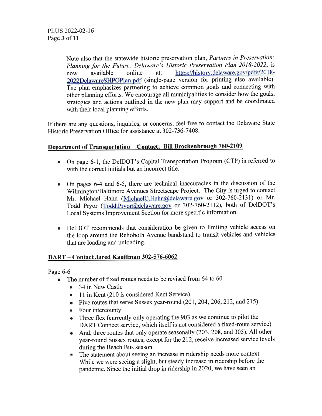Note also that the statewide historic preservation plan, Partners in Preservation: Planning for the Future, Delaware's Historic Preservation Plan 2018-2022, is<br>now available online at: https://history.delaware.gov/pdfs/2018https://history.delaware.gov/pdfs/2018-2022DelawareSHPOPlan.pdf (single-page version for printing also available). The plan emphasizes partnering to achieve common goals and connecting with other planning efforts. We encourage all municipalities to consider how the goals, strategies and actions outlined in the new plan may support and be coordinated with their local planning efforts.

If there are any questions, inquiries, or concerns, feel free to contact the Delaware State Historic Preservation Office for assistance at 302-736-7408.

# <u> Department of Transportation – Contact: Bill Brockenbrough 760-2109</u>

- On page 6-1, the DelDOT's Capital Transportation Program (CTP) is referred to with the correct initials but an incorrect title.
- On pages 6-4 and 6-5, there are technical inaccuracies in the discussion of the Wilmington/Baltimore Avenues Streetscape Project. The City is urged to contact Mr. Michael Hahn (MichaelC.Hahn@delaware.gov or 302-760-2131) or Mr. Todd Pryor (Todd.Pryor@delaware.gov or 302-760-2112), both of DelDOT's Local Systems Improvement Section for more specific information. a
- DeIDOT recommends that consideration be given to limiting vehicle access on the loop around the Rehoboth Avenue bandstand to transit vehicles and vehicles that are loading and unloading. a

## DART - Contact Jared Kauffman 302-576-6062

Page 6-6

- The number of fixed routes needs to be revised from 64 to 60
	- 34 in New Castle
	- 11 in Kent (210 is considered Kent Service)
	- Five routes that serve Sussex year-round (201, 204, 206, 212, and 215)
	- Four intercounty
	- o Three flex (currently only operating the 903 as we continue to pilot the DART Connect service, which itself is not considered a fixed-route service)
	- . And, three routes that only operate seasonally (203,208, and 305). All other year-round Sussex routes, except for the 212, receive increased service levels during the Beach Bus season.
	- The statement about seeing an increase in ridership needs more context. While we were seeing a slight, but steady increase in ridership before the pandemic. Since the initial drop in ridership in2020, we have seen an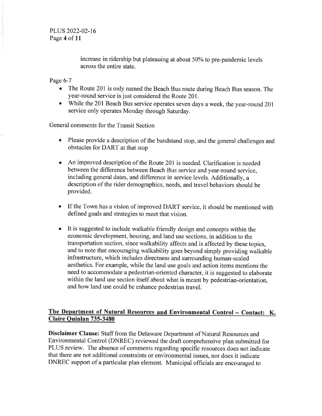PLUS 2022-02-t6 Page 4 of 11

> increase in ridership but plateauing at about 50% to pre-pandemic levels across the entire state.

Page 6-7

- o The Route 201 is only named the Beach Bus route during Beach Bus season. The year-round service is just considered the Route 201.
- o While the 201 Beach Bus service operates seven days a week, the year-round <sup>201</sup> service only operates Monday through Saturday.

General comments for the Transit Section

- Please provide a description of the bandstand stop, and the general challenges and obstacles for DART at that stop
- An improved description of the Route 201 is needed. Clarification is needed between the difference between Beach Bus service and year-round service, including general dates, and difference in service levels. Additionally, a description of the rider demographics, needs, and travel behaviors should be provided.
- If the Town has a vision of improved DART service, it should be mentioned with defined goals and strategies to meet that vision. a
- It is suggested to include walkable friendly design and concepts within the economic development, housing, and land use sections, in addition to the transportation section, since walkability affects and is affected by these topics, and to note that encouraging walkability goes beyond simply providing walkable infrastructure, which includes directness and surrounding human-scaled aesthetics. For example, while the land use goals and action items mentions the need to accommodate a pedestrian-oriented character, it is suggested to elaborate within the land use section itself about what is meant by pedestrian-orientation, and how land use could be enhance pedestrian travel. a

#### The Department of Natural Resources and Environmental Control - Contact: K. Claire Ouinlan 735-3480

Disclaimer Clause: Staff from the Delaware Department of Natural Resources and Environmental Control (DNREC) reviewed the draft comprehensive plan submitted for PLUS review. The absence of comments regarding specific resources does not indicate that there are not additional constraints or environmental issues, nor does it indicate DNREC support of a particular plan element. Municipal officials are encouraged to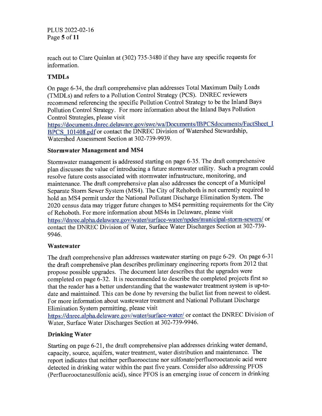PLUS 2022-02-16 Page 5 of 11

reach out to Clare Quinlan at (302) 735-3480 if they have any specific requests for information.

## TMDLs

On page 6-34, the draft comprehensive plan addresses Total Maximum Daily Loads (TMDLs) and refers to a Pollution Control Strategy (PCS). DNREC reviewers recommend referencing the specific Pollution Control Strategy to be the Inland Bays Pollution Control Strategy. For more information about the Inland Bays Pollution Control Strategies, please visit

https://documents.dnrec.delaware.gov/swc/wa/Documents/IBPCSdocuments/FactSheet I BPCS 101408.pdf or contact the DNREC Division of Watershed Stewardship, Watershed Assessment Section at 302-739-9939.

#### Stormwater Management and MS4

Stormwater management is addressed starting on page 6-35. The draft comprehensive plan discusses the value of introducing a future stormwater utility. Such a program could resolve future costs associated with stormwater infrastructure, monitoring, and maintenance. The draft comprehensive plan also addresses the concept of a Municipal Separate Storm Sewer System (MS4). The City of Rehoboth is not currently required to hold an MS4 permit under the National Pollutant Discharge Elimination System. The 2020 census data may trigger future changes to MS4 permitting requirements for the City of Rehoboth. For more information about MS4s in Delaware, please visit https://dnrec.alpha.delaware.gov/water/surface-water/npdes/municipal-storm-sewers/ or contact the DNREC Division of Water, Surface Water Discharges Section at 302-739-9946.

## Wastewater

The draft comprehensive plan addresses wastewater starting on page 6-29. On page 6-31 the draft comprehensive plan describes preliminary engineering reports from 2012 that propose possible upgrades. The document later describes that the upgrades were completed on page 6-32. It is recommended to describe the completed projects first so that the reader has a better understanding that the wastewater treatment system is up-todate and maintained. This can be done by reversing the bullet list from newest to oldest. For more information about wastewater treatment and National Pollutant Discharge Elimination System permitting, please visit

https://dnrec.alpha.delaware.gov/water/surface-water/ or contact the DNREC Division of Water, Surface Water Discharges Section at 302-739-9946.

## Drinking Water

Starting on page 6-21, the draft comprehensive plan addresses drinking water demand, capacity, source, aquifers, water treatment, water distribution and maintenance. The report indicates that neither perfluorooctane nor sulfonate/perfluorooctanoic acid were detected in drinking water within the past five years. Consider also addressing PFOS (Perfluorooctanesulfonic acid), since PFOS is an emerging issue of concern in drinking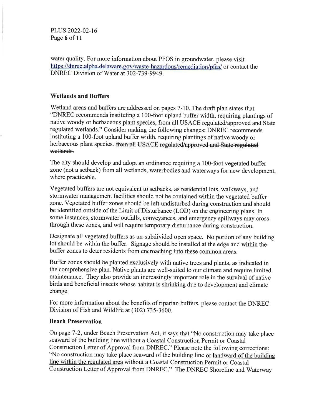PLUS 2022-02-16 Page 6 of 11

water quality. For more information about PFOS in groundwater, please visit https://dnrec.alpha.delaware.gov/waste-hazardous/remediation/pfas/ or contact the DNREC Division of Water at 302-739-9949.

#### Wetlands and Buffers

Wetland areas and buffers are addressed on pages 7-10. The draft plan states that "DNREC recommends instituting a 100-foot upland buffer width, requiring plantings of native woody or herbaceous plant species, from all USACE regulated/approved and State regulated wetlands." Consider making the following changes: DNREC recommends instituting a 100-foot upland buffer width, requiring plantings of native woody or herbaceous plant species. from all USACE regulated/approved and State regulated wetlands.

The city should develop and adopt an ordinance requiring a 100-foot vegetated buffer zone (not a setback) from all wetlands, waterbodies and waterways for new development, where practicable.

Vegetated buffers are not equivalent to setbacks, as residential lots, walkways, and stormwater management facilities should not be contained within the vegetated buffer zone. Vegetated buffer zones should be left undisturbed during construction and should be identified outside of the Limit of Disturbance (LOD) on the engineering plans. In some instances, stormwater outfalls, conveyances, and emergency spillways may cross through these zones, and will require temporary disturbance during construction.

Designate all vegetated buffers as un-subdivided open space. No portion of any building lot should be within the buffer. Signage should be installed at the edge and within the buffer zones to deter residents from encroaching into these common areas.

Buffer zones should be planted exclusively with native trees and plants, as indicated in the comprehensive plan. Native plants are well-suited to our climate and require limited maintenance. They also provide an increasingly important role in the survival of native birds and beneficial insects whose habitat is shrinking due to development and climate change.

For more information about the benefits of riparian buffers, please contact the DNREC Division of Fish and Wildlife at (302) 735-3600.

#### Beach Preservation

On page 7 -2, under Beach Preservation Act, it says that "No construction may take place seaward of the building line without a Coastal Construction Permit or Coastal Construction Letter of Approval from DNREC." Please note the following corrections: "No construction may take place seaward of the building line or landward of the building line within the regulated area without a Coastal Construction Permit or Coastal Construction Letter of Approval from DNREC." The DNREC Shoreline and Waterway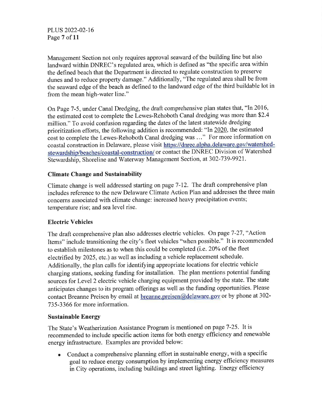PLUS 2022-02-16 Page 7 of 11

Management Section not only requires approval seaward of the building line but also landward within DNREC's regulated area, which is defined as "the specific area within the defined beach that the Department is directed to regulate construction to preserve dunes and to reduce property damage." Additionally, "The regulated area shall be from the seaward edge of the beach as defined to the landward edge of the third buildable lot in from the mean high-water line."

On Page 7-5, under Canal Dredging, the draft comprehensive plan states that, "In 2016, the estimated cost to complete the Lewes-Rehoboth Canal dredging was more than \$2.4 million." To avoid confusion regarding the dates of the latest statewide dredging prioritization efforts, the following addition is recommended: "In  $2020$ , the estimated cost to complete the Lewes-Rehoboth Canal dredging was ..." For more information on coastal construction in Delaware, please visit https://dnrec.alpha.delaware.gov/watershedstewardship/beaches/coastal-construction/ or contact the DNREC Division of Watershed Stewardship, Shoreline and Waterway Management Section, at 302-739-9921.

## Climate Change and Sustainability

Climate change is well addressed starting on page 7-12. The draft comprehensive plan includes reference to the new Delaware Climate Action Plan and addresses the three main concerns associated with climate change: increased heavy precipitation events; temperature rise; and sea level rise.

## Electric Vehicles

The draft comprehensive plan also addresses electric vehicles. On page 7-27,"Action Items" include transitioning the city's fleet vehicles "when possible." It is recommended to establish milestones as to when this could be completed (i.e. 20% of the fleet electrified by 2025, etc.) as well as including a vehicle replacement schedule. Additionally, the plan calls for identifying appropriate locations for electric vehicle charging stations, seeking funding for installation. The plan mentions potential funding sources for Level 2 electric vehicle charging equipment provided by the state. The state anticipates changes to its program offerings as well as the funding opportunities. Please contact Breanne Preisen by email at breanne.preisen@delaware.gov or by phone at 302-735-3366 for more information.

## Sustainable Energy

The State's Weatherization Assistance Program is mentioned on page 7-25. It is recommended to include specific action items for both energy efficiency and renewable energy infrastructure. Examples are provided below:

. Conduct a comprehensive planning effort in sustainable energy, with a specific goal to reduce energy consumption by implementing energy efficiency measures in City operations, including buildings and street lighting. Energy efhciency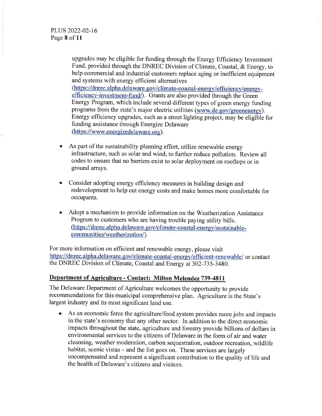upgrades may be eligible for funding through the Energy Efficiency Investment Fund, provided through the DNREC Division of climate, coastal, & Energy, to help commercial and industrial customers replace aging or inefficient equipment and systems with energy efficient alternatives (https://dnrec.alpha.delaware.gov/climate-coastal-energy/efficiency/energyefficiency-investment-fund/). Grants are also provided through the Green Energy Program, which include several different types of green energy funding programs from the state's major electric utilities (www.de.gov/greenenergy). Energy efhciency upgrades, such as a street lighting project, may be eligible for funding assistance through Energize Delaware (https://www.energizedelaware.org).

- a As part of the sustainability planning effort, utilize renewable energy infrastructure, such as solar and wind, to further reduce pollution. Review all codes to ensure that no barriers exist to solar deployment on rooftops or in ground arrays.
- a Consider adopting energy efhciency measures in building design and redevelopment to help cut energy costs and make homes more comfortable for occupants.
- a Adopt a mechanism to provide information on the Weatherization Assistance Program to customers who are having trouble paying utility bills. (https://dnrec.alpha.delaware.gov/climate-coastal-energy/sustainablecommunities/weatherization/).

For more information on efficient and renewable energy, please visit https://dnrec.alpha.delaware.gov/climate-coastal-energy/efficient-renewable/ or contact the DNREC Division of Climate, Coastal and Energy at 302-735-3480.

## Department of Agriculture - Contact: Milton Melendez 739-4811

The Delaware Department of Agriculture welcomes the opportunity to provide recommendations for this municipal comprehensive plan. Agriculture is the State's largest industry and its most significant land use.

o As an economic force the agriculture/food system provides more jobs and impacts in the state's economy that any other sector. In addition to the direct economic impacts throughout the state, agriculture and forestry provide billions of dollars in environmental services to the citizens of Delaware in the form of air and water cleansing, weather moderation, carbon sequestration, outdoor recreation, wildlife habitat, scenic vistas – and the list goes on. These services are largely uncompensated and represent a significant contribution to the quality of life and the health of Delaware's citizens and visitors.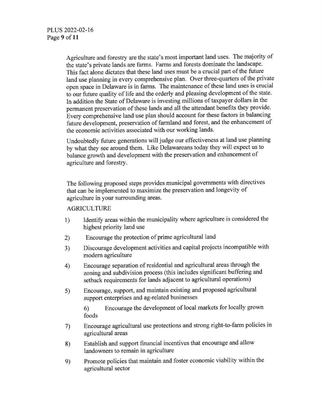Agriculture and forestry are the state's most important land uses. The majority of the state's private lands are farms. Farms and forests dominate the landscape. This fact alone dictates that these land uses must be a crucial part of the future land use planning in every comprehensive plan. Over three-quarters of the private open space in Delaware is in farms. The maintenance of these land uses is crucial to our future quality of life and the orderly and pleasing development of the state. In addition the State of Delaware is investing millions of taxpayer dollars in the permanent preservation of these lands and all the attendant benefits they provide. Every comprehensive land use plan should account for these factors in balancing future development, preservation of farmland and forest, and the enhancement of the economic activities associated with our working lands.

Undoubtedly future generations will judge our effectiveness at land use planning by what they see around them. Like Delawareans today they will expect us to balance growth and development with the preservation and enhancement of agriculture and forestry.

The following proposed steps provides municipal governments with directives that can be implemented to maximize the preservation and longevity of agriculture in your surrounding areas.

## **AGRICULTURE**

- 1) Identify areas within the municipality where agriculture is considered the highest priority land use
- Encourage the protection of prime agricultural land 2)
- Discourage development activities and capital projects incompatible with modern agriculture 3)
- Encourage separation ofresidential and agricultural areas through the zoning and subdivision process (this includes significant buffering and setback requirements for lands adjacent to agricultural operations) 4)
- Encourage, support, and maintain existing and proposed agricultural support enterprises and ag-related businesses 5)

6) Encourage the development of local markets for locally grown foods

- Encourage agricultural use protections and strong right-to-farm policies in agricultural areas 7)
- Establish and support financial incentives that encourage and allow landowners to remain in agriculture 8)
- Promote policies that maintain and foster economic viability within the agricultural sector e)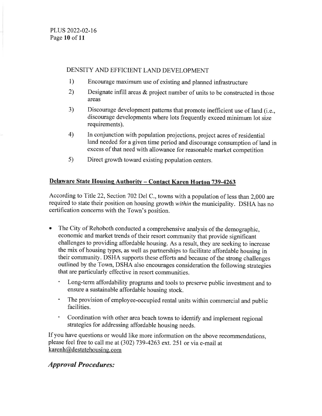#### DENSITY AND EFFICIENT LAND DEVELOPMENT

- 1) Encourage maximum use of existing and planned infrastructure
- 2) Designate infill areas & project number of units to be constructed in those areas
- 3) Discourage development patterns that promote inefficient use of land (i.e., discourage developments where lots frequently exceed minimum lot size requirements).
- In conjunction with population projections, project acres of residential land needed for a given time period and discourage consumption of land in excess of that need with allowance for reasonable market competition 4)
- Direct growth toward existing population centers. s)

## Delaware State Housing Authority - Contact Karen Horton 739-4263

According to Title 22, Section 702 Del C., towns with a population of less than 2,000 are required to state their position on housing growth within the municipality. DSHA has no certification concerns with the Town's position.

- . The City of Rehoboth conducted a comprehensive analysis of the demographic, economic and market trends of their resort community that provide significant challenges to providing affordable housing. As a result, they are seeking to increase the mix of housing types, as well as partnerships to facilitate affordable housing in their community. DSHA supports these efforts and because of the strong challenges outlined by the Town, DSHA also encourages consideration the following strategies that are particularly effective in resort communities.
	- ' Long-term affordability programs and tools to preserve public investment and to ensure a sustainable affordable housing stock.
	- ' The provision of employee-occupied rental units within commercial and public facilities.
	- Coordination with other area beach towns to identify and implement regional strategies for addressing affordable housing needs.

If you have questions or would like more information on the above recommendations, please feel free to call me at (302) 739-4263 ext.25I or via e-mail at  $k$ arenh@destatehousing.com

## **Approval Procedures:**